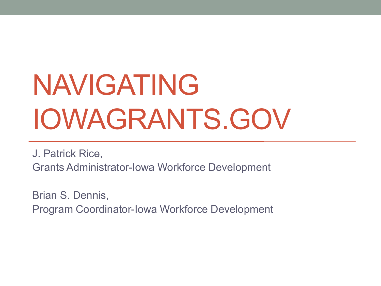# NAVIGATING IOWAGRANTS.GOV

J. Patrick Rice, Grants Administrator-Iowa Workforce Development

Brian S. Dennis, Program Coordinator-Iowa Workforce Development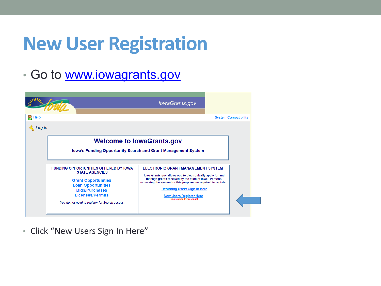• Go to [www.iowagrants.gov](http://www.iowagrants.gov/)

|                |                                                                                                                                                                                                                                        | lowaGrants.gov                                                                                                                                                                                                                                                                                                                             |  |
|----------------|----------------------------------------------------------------------------------------------------------------------------------------------------------------------------------------------------------------------------------------|--------------------------------------------------------------------------------------------------------------------------------------------------------------------------------------------------------------------------------------------------------------------------------------------------------------------------------------------|--|
| Help<br>Log In |                                                                                                                                                                                                                                        | <b>System Compatibility</b>                                                                                                                                                                                                                                                                                                                |  |
|                |                                                                                                                                                                                                                                        | <b>Welcome to lowaGrants.gov</b><br>lowa's Funding Opportunity Search and Grant Management System                                                                                                                                                                                                                                          |  |
|                | <b>FUNDING OPPORTUNITIES OFFERED BY IOWA</b><br><b>STATE AGENCIES</b><br><b>Grant Opportunities</b><br><b>Loan Opportunities</b><br><b>Bids/Purchases</b><br><b>Licenses/Permits</b><br>You do not need to register for Search access. | <b>ELECTRONIC GRANT MANAGEMENT SYSTEM</b><br>lowa Grants.gov allows you to electronically apply for and<br>manage grants received by the state of Iowa. Persons<br>accessing the system for this purpose are required to register.<br><b>Returning Users Sign In Here</b><br><b>New Users Register Here</b><br>(Registration Instructions) |  |

• Click "New Users Sign In Here"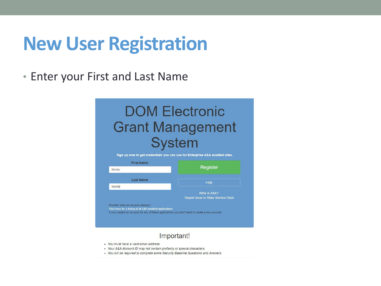• Enter your First and Last Name

#### **DOM Electronic Grant Management System**

Sign up now to get credentials you can use for Enterprise A&A enabled sites.



#### Important!

- · You must have a valid email address.
- Your A&A Account ID may not contain profanity or special characters.
- You will be required to complete some Security Baseline Questions and Answers.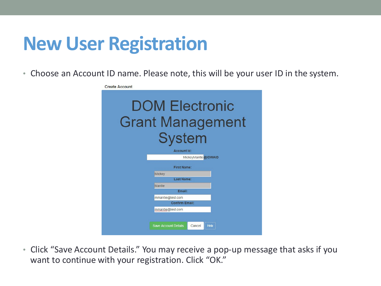• Choose an Account ID name. Please note, this will be your user ID in the system.

| <b>Create Account</b>                                             |  |  |  |  |  |  |  |
|-------------------------------------------------------------------|--|--|--|--|--|--|--|
| <b>DOM Electronic</b><br><b>Grant Management</b><br><b>System</b> |  |  |  |  |  |  |  |
| <b>Account Id:</b>                                                |  |  |  |  |  |  |  |
| MickeyMantle @IOWAID                                              |  |  |  |  |  |  |  |
| <b>First Name:</b>                                                |  |  |  |  |  |  |  |
| <b>Mickey</b>                                                     |  |  |  |  |  |  |  |
| Last Name:                                                        |  |  |  |  |  |  |  |
| <b>Mantle</b>                                                     |  |  |  |  |  |  |  |
| Email:                                                            |  |  |  |  |  |  |  |
| mmantle@test.com                                                  |  |  |  |  |  |  |  |
| <b>Confirm Email:</b>                                             |  |  |  |  |  |  |  |
| mmantle@test.com                                                  |  |  |  |  |  |  |  |
| <b>Save Account Details</b><br>Cancel<br>Help                     |  |  |  |  |  |  |  |

• Click "Save Account Details." You may receive a pop-up message that asks if you want to continue with your registration. Click "OK."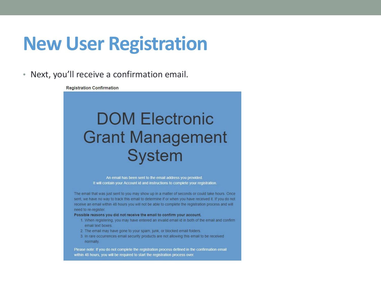• Next, you'll receive a confirmation email.

**Registration Confirmation** 

#### **DOM Electronic Grant Management System**

An email has been sent to the email address you provided. It will contain your Account id and instructions to complete your registration.

The email that was just sent to you may show up in a matter of seconds or could take hours. Once sent, we have no way to track this email to determine if or when you have received it. If you do not receive an email within 48 hours you will not be able to complete the registration process and will need to re-register.

#### Possible reasons you did not receive the email to confirm your account.

- 1. When registering, you may have entered an invalid email id in both of the email and confirm email text boxes.
- 2. The email may have gone to your spam, junk, or blocked email folders.
- 3. In rare occurrences email security products are not allowing this email to be received normally.

Please note: If you do not complete the registration process defined in the confirmation email within 48 hours, you will be required to start the registration process over.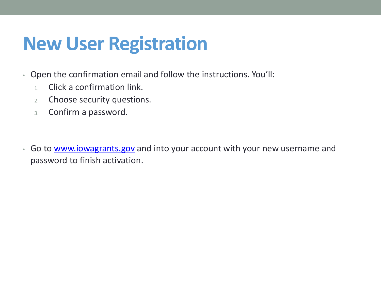- Open the confirmation email and follow the instructions. You'll:
	- 1. Click a confirmation link.
	- 2. Choose security questions.
	- 3. Confirm a password.
- Go to [www.iowagrants.gov](http://www.iowagrants.gov/) and into your account with your new username and password to finish activation.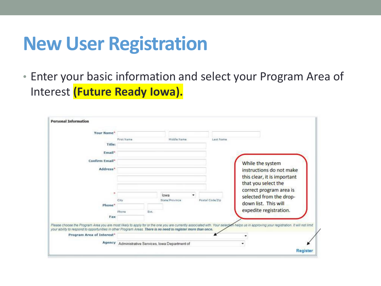• Enter your basic information and select your Program Area of Interest **(Future Ready Iowa).**

| Your Name*                                                                                                    |            |      |                                                    |                 |                                                                                                                                                                                         |
|---------------------------------------------------------------------------------------------------------------|------------|------|----------------------------------------------------|-----------------|-----------------------------------------------------------------------------------------------------------------------------------------------------------------------------------------|
|                                                                                                               | First Name |      | Middle Name                                        | Last Name       |                                                                                                                                                                                         |
| Title:                                                                                                        |            |      |                                                    |                 |                                                                                                                                                                                         |
| Email*                                                                                                        |            |      |                                                    |                 |                                                                                                                                                                                         |
| Confirm Email*                                                                                                |            |      |                                                    |                 | While the system                                                                                                                                                                        |
| Address*                                                                                                      |            |      |                                                    |                 | instructions do not make                                                                                                                                                                |
|                                                                                                               |            |      |                                                    |                 | this clear, it is important                                                                                                                                                             |
|                                                                                                               |            |      |                                                    |                 | that you select the                                                                                                                                                                     |
|                                                                                                               |            |      | lowa                                               |                 | correct program area is                                                                                                                                                                 |
|                                                                                                               | City       |      | State/Province                                     | Postal Coda/Zip | selected from the drop-                                                                                                                                                                 |
| Phone <sup>®</sup>                                                                                            |            |      |                                                    |                 | down list. This will                                                                                                                                                                    |
|                                                                                                               | Phone      | Ext. |                                                    |                 | expedite registration.                                                                                                                                                                  |
| Fax                                                                                                           |            |      |                                                    |                 |                                                                                                                                                                                         |
| your ability to respond to opportunities in other Program Areas. There is no need to register more than once. |            |      |                                                    |                 | Please choose the Program Area you are most likely to apply for or the one you are currently associated with. Your selection helps us in approving your registration. It will not limit |
| Program Area of Interest"                                                                                     |            |      |                                                    |                 |                                                                                                                                                                                         |
|                                                                                                               |            |      | Agency Administrative Services, Iowa Department of |                 |                                                                                                                                                                                         |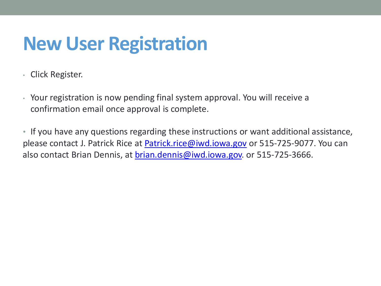- Click Register.
- Your registration is now pending final system approval. You will receive a confirmation email once approval is complete.
- If you have any questions regarding these instructions or want additional assistance, please contact J. Patrick Rice at [Patrick.rice@iwd.iowa.gov](mailto:Patrick.rice@iwd.iowa.gov) or 515-725-9077. You can also contact Brian Dennis, at [brian.dennis@iwd.iowa.gov.](mailto:brian.dennis@iwd.iowa.gov) or 515-725-3666.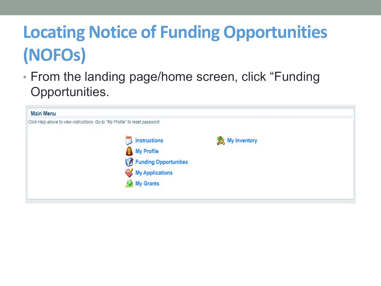• From the landing page/home screen, click "Funding Opportunities.

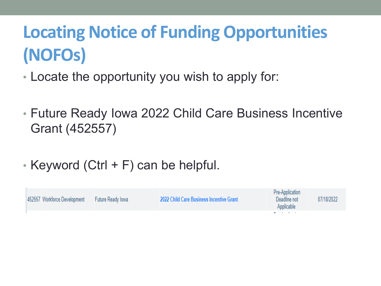- Locate the opportunity you wish to apply for:
- Future Ready Iowa 2022 Child Care Business Incentive Grant (452557)
- Keyword (Ctrl + F) can be helpful.

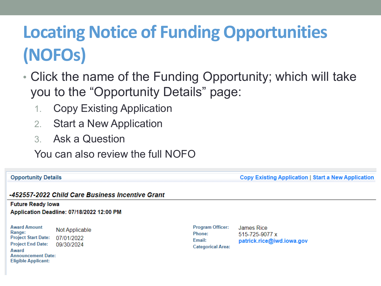- Click the name of the Funding Opportunity; which will take you to the "Opportunity Details" page:
	- 1. Copy Existing Application
	- 2. Start a New Application
	- 3. Ask a Question

You can also review the full NOFO

**Copy Existing Application | Start a New Application** 

-452557-2022 Child Care Business Incentive Grant

**Future Ready lowa** Application Deadline: 07/18/2022 12:00 PM

**Award Amount Not Applicable** Range: **Project Start Date:** 07/01/2022 **Project End Date:** 09/30/2024 Award **Announcement Date: Eligible Applicant:** 

**Opportunity Details** 

Program Officer: James Rice Phone: Email: **Categorical Area:** 

515-725-9077 x patrick.rice@iwd.iowa.gov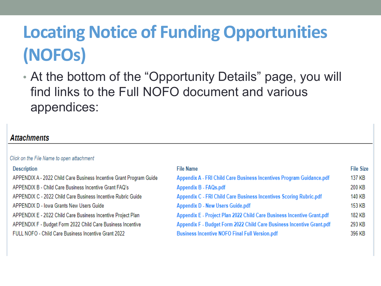• At the bottom of the "Opportunity Details" page, you will find links to the Full NOFO document and various appendices:

#### **Attachments**

| Click on the File Name to open attachment                           |                                                                        |                  |
|---------------------------------------------------------------------|------------------------------------------------------------------------|------------------|
| <b>Description</b>                                                  | <b>File Name</b>                                                       | <b>File Size</b> |
| APPENDIX A - 2022 Child Care Business Incentive Grant Program Guide | Appendix A - FRI Child Care Business Incentives Program Guidance.pdf   | 137 KB           |
| APPENDIX B - Child Care Business Incentive Grant FAQ's              | Appendix B - FAQs.pdf                                                  | 200 KB           |
| APPENDIX C - 2022 Child Care Business Incentive Rubric Guide        | Appendix C - FRI Child Care Business Incentives Scoring Rubric.pdf     | 140 KB           |
| APPENDIX D - Iowa Grants New Users Guide                            | <b>Appendix D - New Users Guide.pdf</b>                                | 153 KB           |
| APPENDIX E - 2022 Child Care Business Incentive Project Plan        | Appendix E - Project Plan 2022 Child Care Business Incentive Grant.pdf | 182 KB           |
| APPENDIX F - Budget Form 2022 Child Care Business Incentive         | Appendix F - Budget Form 2022 Child Care Business Incentive Grant.pdf  | 293 KB           |
| FULL NOFO - Child Care Business Incentive Grant 2022                | <b>Business Incentive NOFO Final Full Version.pdf</b>                  | 396 KB           |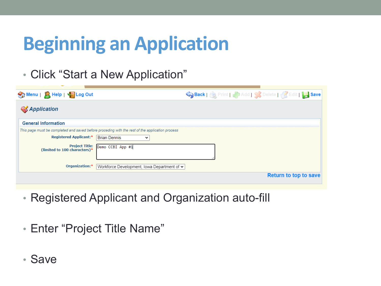## **Beginning an Application**

• Click "Start a New Application"

| Menu   A Help   C Log Out     | Save Back   St Print   Canada   St Delete   Executive Stave                                     |
|-------------------------------|-------------------------------------------------------------------------------------------------|
| <b>S</b> Application          |                                                                                                 |
| <b>General Information</b>    |                                                                                                 |
|                               | This page must be completed and saved before proceding with the rest of the application process |
| <b>Registered Applicant:*</b> | <b>Brian Dennis</b><br>$\check{ }$                                                              |
| (limited to 100 characters)*  | Project Title: Demo CCBI App #1                                                                 |
| Organization:*                | Workforce Development, Iowa Department of $\sim$                                                |
|                               | <b>Return to top to save</b>                                                                    |

- Registered Applicant and Organization auto-fill
- Enter "Project Title Name"
- Save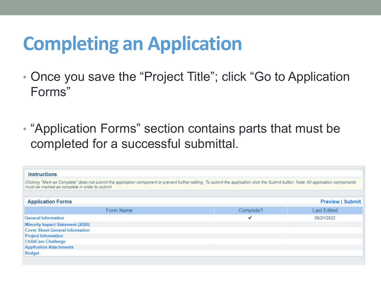## **Completing an Application**

- Once you save the "Project Title"; click "Go to Application Forms"
- "Application Forms" section contains parts that must be completed for a successful submittal.

| Instructions                                                                                                                                                                                                                            |           |                         |
|-----------------------------------------------------------------------------------------------------------------------------------------------------------------------------------------------------------------------------------------|-----------|-------------------------|
| Clicking "Mark as Complete" does not submit the application component or prevent further editing. To submit the application click the Submit button. Note: All application components<br>must be marked as complete in order to submit. |           |                         |
| <b>Application Forms</b>                                                                                                                                                                                                                |           | <b>Preview   Submit</b> |
| Form Name                                                                                                                                                                                                                               | Complete? | <b>Last Edited</b>      |
| <b>General Information</b>                                                                                                                                                                                                              |           | 06/21/2022              |
| <b>Minority Impact Statement (2020)</b>                                                                                                                                                                                                 |           |                         |
| <b>Cover Sheet-General Information</b>                                                                                                                                                                                                  |           |                         |
| <b>Project Information</b>                                                                                                                                                                                                              |           |                         |
| <b>ChildCare Challenge</b>                                                                                                                                                                                                              |           |                         |
| <b>Application Attachments</b>                                                                                                                                                                                                          |           |                         |
| <b>Budget</b>                                                                                                                                                                                                                           |           |                         |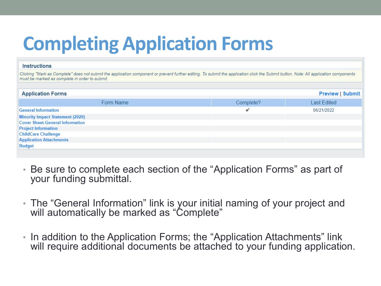## **Completing Application Forms**

#### **Instructions**

Clicking "Mark as Complete" does not submit the application component or prevent further editing. To submit the application click the Submit button. Note: All application components must be marked as complete in order to submit.

| <b>Application Forms</b>                |           | <b>Preview   Submit</b> |  |  |
|-----------------------------------------|-----------|-------------------------|--|--|
| Form Name                               | Complete? | <b>Last Edited</b>      |  |  |
| <b>General Information</b>              |           | 06/21/2022              |  |  |
| <b>Minority Impact Statement (2020)</b> |           |                         |  |  |
| <b>Cover Sheet-General Information</b>  |           |                         |  |  |
| <b>Project Information</b>              |           |                         |  |  |
| <b>ChildCare Challenge</b>              |           |                         |  |  |
| <b>Application Attachments</b>          |           |                         |  |  |
| <b>Budget</b>                           |           |                         |  |  |

- Be sure to complete each section of the "Application Forms" as part of your funding submittal.
- The "General Information" link is your initial naming of your project and will automatically be marked as "Complete"
- In addition to the Application Forms; the "Application Attachments" link will require additional documents be attached to your funding application.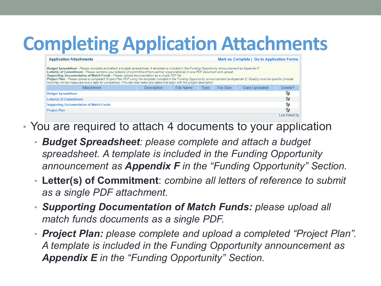## **Completing Application Attachments**

| <b>Application Attachments</b>                                                                                                                                                                                                                                                                                                                                                                                                                                                                                                                                                                                                                                                                             |             |           |             | Mark as Complete   Go to Application Forms |               |                    |  |
|------------------------------------------------------------------------------------------------------------------------------------------------------------------------------------------------------------------------------------------------------------------------------------------------------------------------------------------------------------------------------------------------------------------------------------------------------------------------------------------------------------------------------------------------------------------------------------------------------------------------------------------------------------------------------------------------------------|-------------|-----------|-------------|--------------------------------------------|---------------|--------------------|--|
| Budget Spreadsheet - Please complete and attach a budget spreadsheet. A template is included in the Funding Opportunity announcement as Appendix F.<br>Letter(s) of Commitment - Please combine your letter(s) of commitment from partner organization(s) in one PDF document and upload.<br>Supporting Documentation of Match Funds - Please upload documentation as a single PDF file.<br>Project Plan - Please upload a completed Project Plan PDF using the template included in the Funding Opportunity announcement as Appendix E. Goal(s) must be specific (include<br>how they will be measured and a date for completion). Provide clear tasks and dates that align with the project description. |             |           |             |                                            |               |                    |  |
| Attachment                                                                                                                                                                                                                                                                                                                                                                                                                                                                                                                                                                                                                                                                                                 | Description | File Name | <b>Type</b> | File Size                                  | Date Uploaded | Delete?            |  |
| <b>Budget Spreadsheet</b>                                                                                                                                                                                                                                                                                                                                                                                                                                                                                                                                                                                                                                                                                  |             |           |             |                                            |               | œ,                 |  |
| Letter(s) of Commitment                                                                                                                                                                                                                                                                                                                                                                                                                                                                                                                                                                                                                                                                                    |             |           |             |                                            |               | $\epsilon$         |  |
| <b>Supporting Documentation of Match Funds</b>                                                                                                                                                                                                                                                                                                                                                                                                                                                                                                                                                                                                                                                             |             |           |             |                                            |               | $\epsilon_{\rm f}$ |  |
| <b>Project Plan</b>                                                                                                                                                                                                                                                                                                                                                                                                                                                                                                                                                                                                                                                                                        |             |           |             |                                            |               | $\epsilon$         |  |
|                                                                                                                                                                                                                                                                                                                                                                                                                                                                                                                                                                                                                                                                                                            |             |           |             |                                            |               | Last Edited By:    |  |

- You are required to attach 4 documents to your application
	- *Budget Spreadsheet: please complete and attach a budget spreadsheet. A template is included in the Funding Opportunity announcement as Appendix F in the "Funding Opportunity" Section.*
	- **Letter(s) of Commitment**: *combine all letters of reference to submit as a single PDF attachment.*
	- *Supporting Documentation of Match Funds: please upload all match funds documents as a single PDF.*
	- *Project Plan: please complete and upload a completed "Project Plan". A template is included in the Funding Opportunity announcement as Appendix E in the "Funding Opportunity" Section.*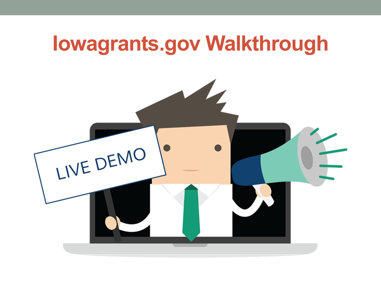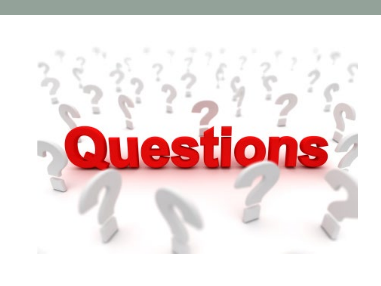